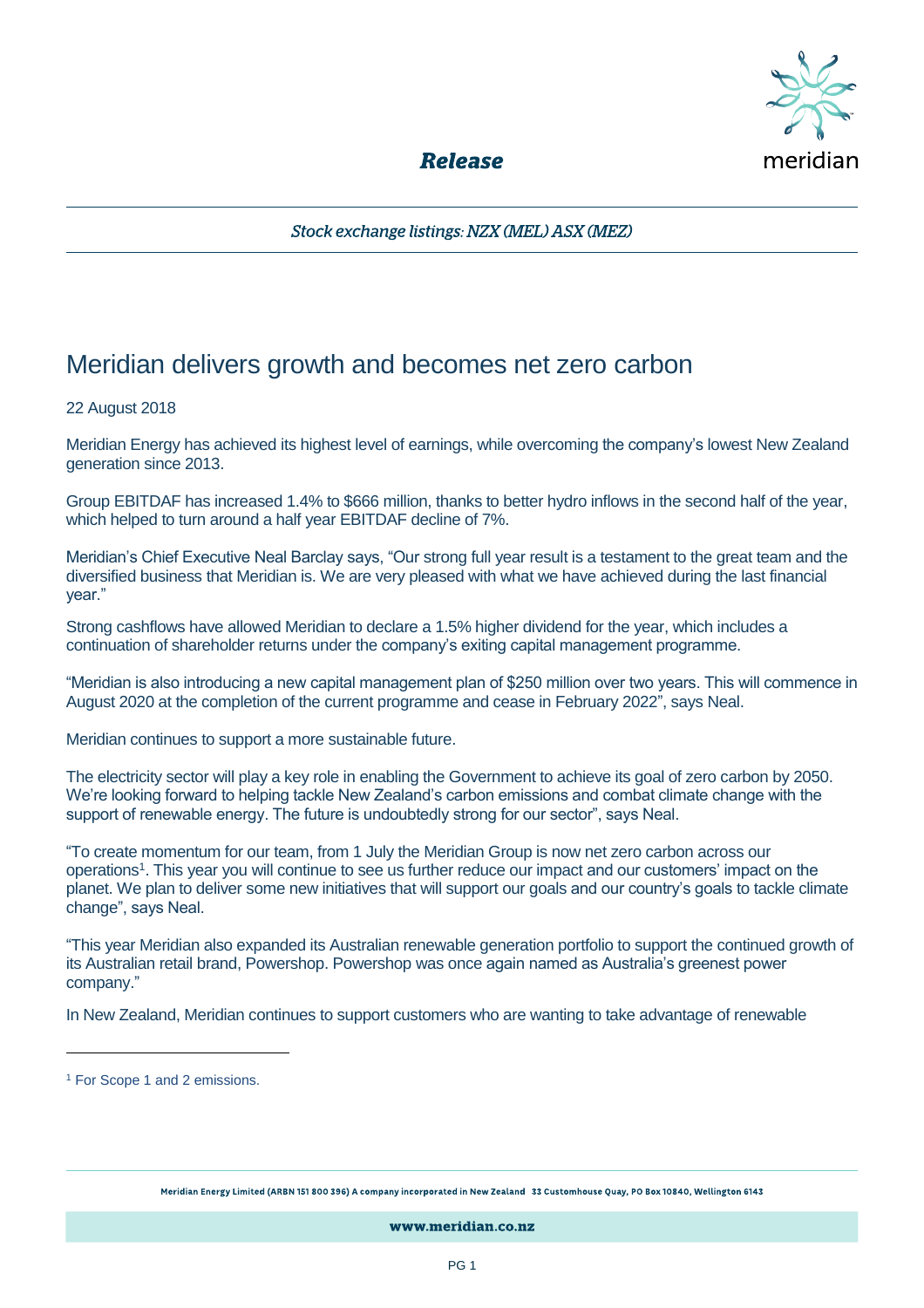

**Release** 

Stock exchange listings: NZX (MEL) ASX (MEZ)

## Meridian delivers growth and becomes net zero carbon

## 22 August 2018

Meridian Energy has achieved its highest level of earnings, while overcoming the company's lowest New Zealand generation since 2013.

Group EBITDAF has increased 1.4% to \$666 million, thanks to better hydro inflows in the second half of the year, which helped to turn around a half year EBITDAF decline of 7%.

Meridian's Chief Executive Neal Barclay says, "Our strong full year result is a testament to the great team and the diversified business that Meridian is. We are very pleased with what we have achieved during the last financial year."

Strong cashflows have allowed Meridian to declare a 1.5% higher dividend for the year, which includes a continuation of shareholder returns under the company's exiting capital management programme.

"Meridian is also introducing a new capital management plan of \$250 million over two years. This will commence in August 2020 at the completion of the current programme and cease in February 2022", says Neal.

Meridian continues to support a more sustainable future.

The electricity sector will play a key role in enabling the Government to achieve its goal of zero carbon by 2050. We're looking forward to helping tackle New Zealand's carbon emissions and combat climate change with the support of renewable energy. The future is undoubtedly strong for our sector", says Neal.

"To create momentum for our team, from 1 July the Meridian Group is now net zero carbon across our operations<sup>1</sup>. This year you will continue to see us further reduce our impact and our customers' impact on the planet. We plan to deliver some new initiatives that will support our goals and our country's goals to tackle climate change", says Neal.

"This year Meridian also expanded its Australian renewable generation portfolio to support the continued growth of its Australian retail brand, Powershop. Powershop was once again named as Australia's greenest power company."

In New Zealand, Meridian continues to support customers who are wanting to take advantage of renewable

 $\overline{a}$ 

Meridian Energy Limited (ARBN 151 800 396) A company incorporated in New Zealand 33 Customhouse Quay, PO Box 10840, Wellington 6143

www.meridian.co.nz

<sup>&</sup>lt;sup>1</sup> For Scope 1 and 2 emissions.